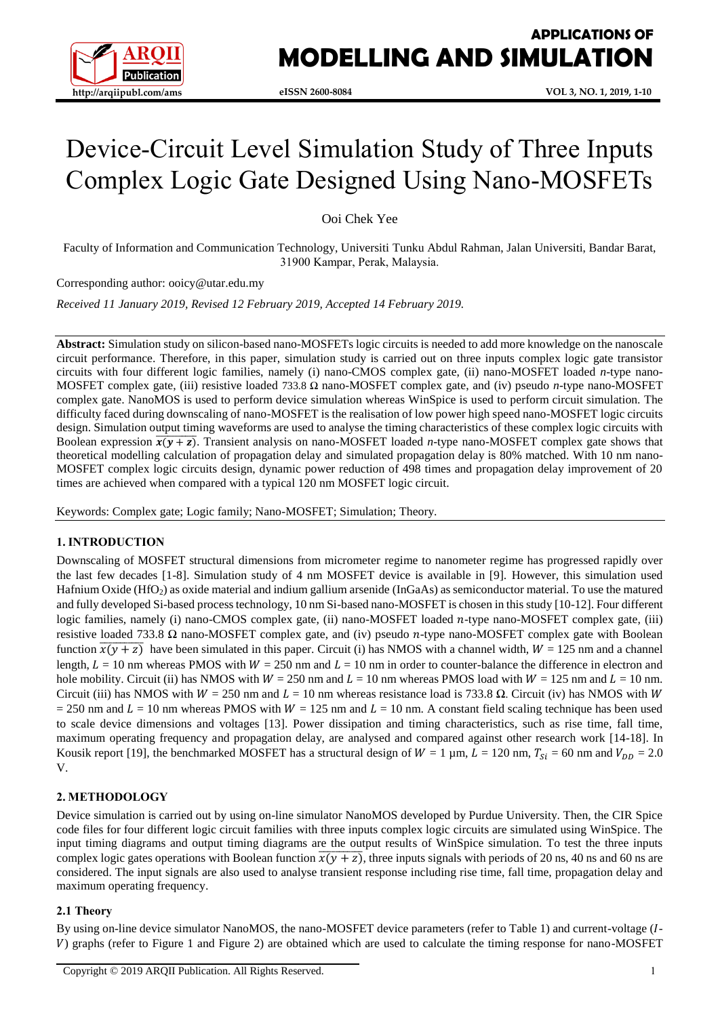

# **APPLICATIONS OF MODELLING AND SIMULATION**

# Device-Circuit Level Simulation Study of Three Inputs Complex Logic Gate Designed Using Nano-MOSFETs

Ooi Chek Yee

Faculty of Information and Communication Technology, Universiti Tunku Abdul Rahman, Jalan Universiti, Bandar Barat, 31900 Kampar, Perak, Malaysia.

Corresponding author: ooicy@utar.edu.my

*Received 11 January 2019, Revised 12 February 2019, Accepted 14 February 2019.*

**Abstract:** Simulation study on silicon-based nano-MOSFETs logic circuits is needed to add more knowledge on the nanoscale circuit performance. Therefore, in this paper, simulation study is carried out on three inputs complex logic gate transistor circuits with four different logic families, namely (i) nano-CMOS complex gate, (ii) nano-MOSFET loaded *n*-type nano-MOSFET complex gate, (iii) resistive loaded 733.8 Ω nano-MOSFET complex gate, and (iv) pseudo *n*-type nano-MOSFET complex gate. NanoMOS is used to perform device simulation whereas WinSpice is used to perform circuit simulation. The difficulty faced during downscaling of nano-MOSFET is the realisation of low power high speed nano-MOSFET logic circuits design. Simulation output timing waveforms are used to analyse the timing characteristics of these complex logic circuits with Boolean expression  $\overline{x(y + z)}$ . Transient analysis on nano-MOSFET loaded *n*-type nano-MOSFET complex gate shows that theoretical modelling calculation of propagation delay and simulated propagation delay is 80% matched. With 10 nm nano-MOSFET complex logic circuits design, dynamic power reduction of 498 times and propagation delay improvement of 20 times are achieved when compared with a typical 120 nm MOSFET logic circuit.

Keywords: Complex gate; Logic family; Nano-MOSFET; Simulation; Theory.

## **1. INTRODUCTION**

Downscaling of MOSFET structural dimensions from micrometer regime to nanometer regime has progressed rapidly over the last few decades [1-8]. Simulation study of 4 nm MOSFET device is available in [9]. However, this simulation used Hafnium Oxide (HfO<sub>2</sub>) as oxide material and indium gallium arsenide (InGaAs) as semiconductor material. To use the matured and fully developed Si-based process technology, 10 nm Si-based nano-MOSFET is chosen in this study [10-12]. Four different logic families, namely (i) nano-CMOS complex gate, (ii) nano-MOSFET loaded  $n$ -type nano-MOSFET complex gate, (iii) resistive loaded 733.8  $\Omega$  nano-MOSFET complex gate, and (iv) pseudo *n*-type nano-MOSFET complex gate with Boolean function  $\overline{x(y+z)}$  have been simulated in this paper. Circuit (i) has NMOS with a channel width,  $W = 125$  nm and a channel length,  $L = 10$  nm whereas PMOS with  $W = 250$  nm and  $L = 10$  nm in order to counter-balance the difference in electron and hole mobility. Circuit (ii) has NMOS with  $W = 250$  nm and  $L = 10$  nm whereas PMOS load with  $W = 125$  nm and  $L = 10$  nm. Circuit (iii) has NMOS with  $W = 250$  nm and  $L = 10$  nm whereas resistance load is 733.8  $\Omega$ . Circuit (iv) has NMOS with W  $= 250$  nm and  $L = 10$  nm whereas PMOS with  $W = 125$  nm and  $L = 10$  nm. A constant field scaling technique has been used to scale device dimensions and voltages [13]. Power dissipation and timing characteristics, such as rise time, fall time, maximum operating frequency and propagation delay, are analysed and compared against other research work [14-18]. In Kousik report [19], the benchmarked MOSFET has a structural design of  $W = 1 \mu m$ ,  $L = 120 \text{ nm}$ ,  $T_{Si} = 60 \text{ nm}$  and  $V_{DD} = 2.0 \mu m$ V.

## **2. METHODOLOGY**

Device simulation is carried out by using on-line simulator NanoMOS developed by Purdue University. Then, the CIR Spice code files for four different logic circuit families with three inputs complex logic circuits are simulated using WinSpice. The input timing diagrams and output timing diagrams are the output results of WinSpice simulation. To test the three inputs complex logic gates operations with Boolean function  $\overline{x(y+z)}$ , three inputs signals with periods of 20 ns, 40 ns and 60 ns are considered. The input signals are also used to analyse transient response including rise time, fall time, propagation delay and maximum operating frequency.

#### **2.1 Theory**

By using on-line device simulator NanoMOS, the nano-MOSFET device parameters (refer to Table 1) and current-voltage (*l*-) graphs (refer to Figure 1 and Figure 2) are obtained which are used to calculate the timing response for nano-MOSFET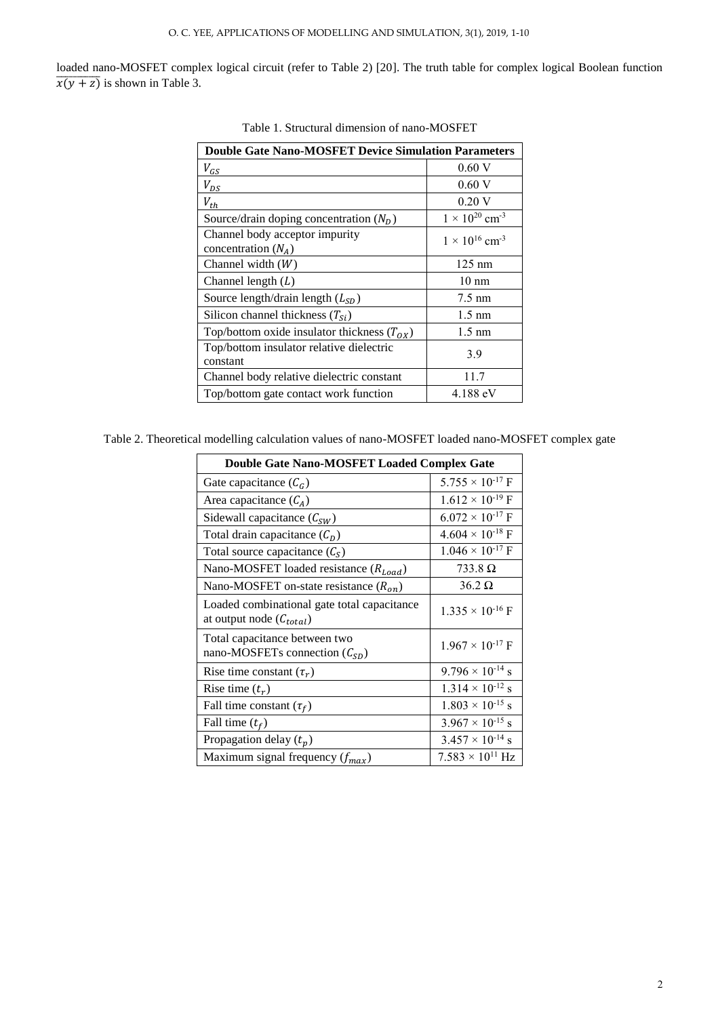loaded nano-MOSFET complex logical circuit (refer to Table 2) [20]. The truth table for complex logical Boolean function  $\overline{x(y + z)}$  is shown in Table 3.

| <b>Double Gate Nano-MOSFET Device Simulation Parameters</b> |                                     |  |  |  |
|-------------------------------------------------------------|-------------------------------------|--|--|--|
| $V_{GS}$                                                    | 0.60V                               |  |  |  |
| $V_{DS}$                                                    | 0.60V                               |  |  |  |
| $V_{th}$                                                    | 0.20V                               |  |  |  |
| Source/drain doping concentration $(N_D)$                   | $1 \times 10^{20}$ cm <sup>-3</sup> |  |  |  |
| Channel body acceptor impurity<br>concentration $(N_A)$     | $1 \times 10^{16}$ cm <sup>-3</sup> |  |  |  |
| Channel width $(W)$                                         | $125 \text{ nm}$                    |  |  |  |
| Channel length $(L)$                                        | $10 \text{ nm}$                     |  |  |  |
| Source length/drain length $(L_{SD})$                       | $7.5 \text{ nm}$                    |  |  |  |
| Silicon channel thickness $(T_{Si})$                        | $1.5 \text{ nm}$                    |  |  |  |
| Top/bottom oxide insulator thickness $(T_{OX})$             | $1.5 \text{ nm}$                    |  |  |  |
| Top/bottom insulator relative dielectric<br>constant        | 3.9                                 |  |  |  |
| Channel body relative dielectric constant                   | 11.7                                |  |  |  |
| Top/bottom gate contact work function                       | 4.188 eV                            |  |  |  |

Table 1. Structural dimension of nano-MOSFET

|  |  |  |  |  | Table 2. Theoretical modelling calculation values of nano-MOSFET loaded nano-MOSFET complex gate |
|--|--|--|--|--|--------------------------------------------------------------------------------------------------|
|  |  |  |  |  |                                                                                                  |

| <b>Double Gate Nano-MOSFET Loaded Complex Gate</b>                                    |                           |  |  |  |
|---------------------------------------------------------------------------------------|---------------------------|--|--|--|
| Gate capacitance $(C_G)$                                                              | $5.755 \times 10^{-17}$ F |  |  |  |
| Area capacitance $(C_A)$                                                              | $1.612 \times 10^{-19}$ F |  |  |  |
| Sidewall capacitance $(C_{SW})$                                                       | $6.072 \times 10^{-17}$ F |  |  |  |
| Total drain capacitance $(C_D)$                                                       | $4.604 \times 10^{-18}$ F |  |  |  |
| Total source capacitance $(CS)$                                                       | $1.046 \times 10^{-17}$ F |  |  |  |
| Nano-MOSFET loaded resistance $(R_{load})$                                            | $733.8\Omega$             |  |  |  |
| Nano-MOSFET on-state resistance $(R_{on})$                                            | $36.2 \Omega$             |  |  |  |
| Loaded combinational gate total capacitance<br>at output node $(\mathcal{C}_{total})$ | $1.335 \times 10^{-16}$ F |  |  |  |
| Total capacitance between two<br>nano-MOSFETs connection $(\mathcal{C}_{SD})$         | $1.967 \times 10^{-17}$ F |  |  |  |
| Rise time constant $(\tau_r)$                                                         | $9.796 \times 10^{-14}$ s |  |  |  |
| Rise time $(t_r)$                                                                     | $1.314 \times 10^{-12}$ s |  |  |  |
| Fall time constant $(\tau_f)$                                                         | $1.803 \times 10^{-15}$ s |  |  |  |
| Fall time $(t_f)$                                                                     | $3.967 \times 10^{-15}$ s |  |  |  |
| Propagation delay $(t_p)$                                                             | $3.457 \times 10^{-14}$ s |  |  |  |
| Maximum signal frequency $(f_{max})$                                                  | $7.583 \times 10^{11}$ Hz |  |  |  |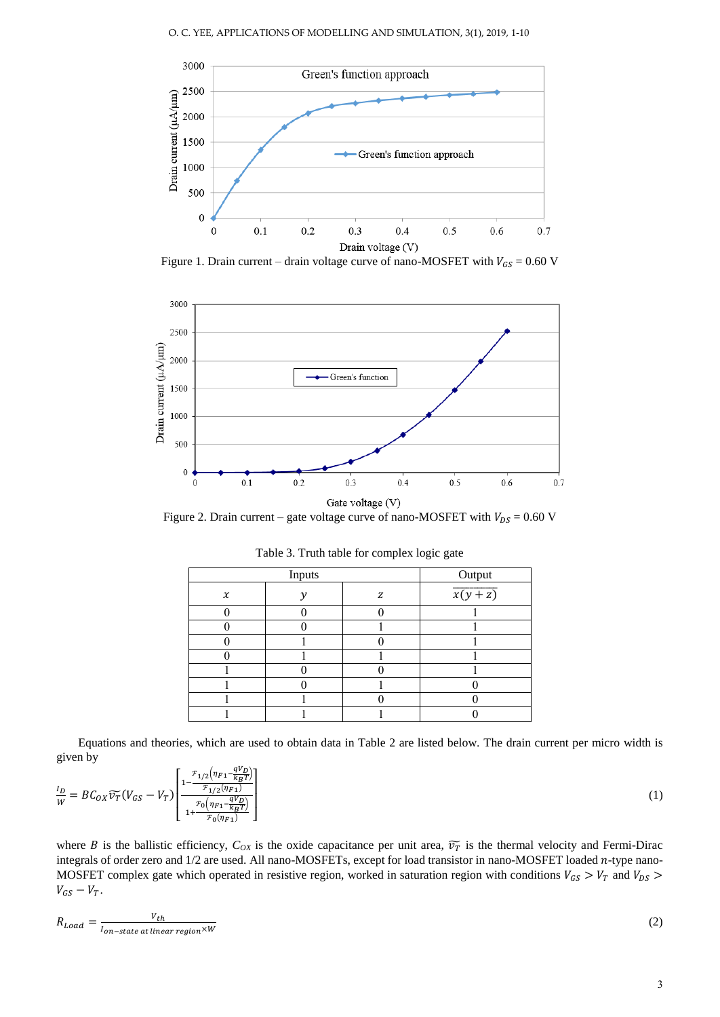

Figure 1. Drain current – drain voltage curve of nano-MOSFET with  $V_{GS} = 0.60$  V



Figure 2. Drain current – gate voltage curve of nano-MOSFET with  $V_{DS} = 0.60$  V

|                     | Output        |   |                     |
|---------------------|---------------|---|---------------------|
| $\boldsymbol{\chi}$ | $\mathcal{V}$ | z | $\overline{x(y+z)}$ |
|                     |               |   |                     |
|                     |               |   |                     |
|                     |               |   |                     |
|                     |               |   |                     |
|                     |               |   |                     |
|                     |               |   |                     |
|                     |               |   |                     |
|                     |               |   |                     |

Table 3. Truth table for complex logic gate

Equations and theories, which are used to obtain data in Table 2 are listed below. The drain current per micro width is given by

$$
\frac{I_D}{W} = BC_{OX}\widetilde{v_T}(V_{GS} - V_T) \left[ \frac{1 - \frac{\mathcal{F}_{1/2}(\eta_{F1} - qV_D)}{\mathcal{F}_{1/2}(\eta_{F1})}}{1 + \frac{\mathcal{F}_0(\eta_{F1} - qV_D)}{\mathcal{F}_0(\eta_{F1} - \frac{qV_D}{k_B T})}} \right]
$$
(1)

where *B* is the ballistic efficiency,  $C_{OX}$  is the oxide capacitance per unit area,  $\widetilde{v}_T$  is the thermal velocity and Fermi-Dirac integrals of order zero and 1/2 are used. All nano-MOSFETs, except for load transistor in nano-MOSFET loaded n-type nano-MOSFET complex gate which operated in resistive region, worked in saturation region with conditions  $V_{GS} > V_T$  and  $V_{DS} >$  $V_{GS}-V_T$ .

$$
R_{Load} = \frac{V_{th}}{I_{on-state\ at\ linear\ region} \times W} \tag{2}
$$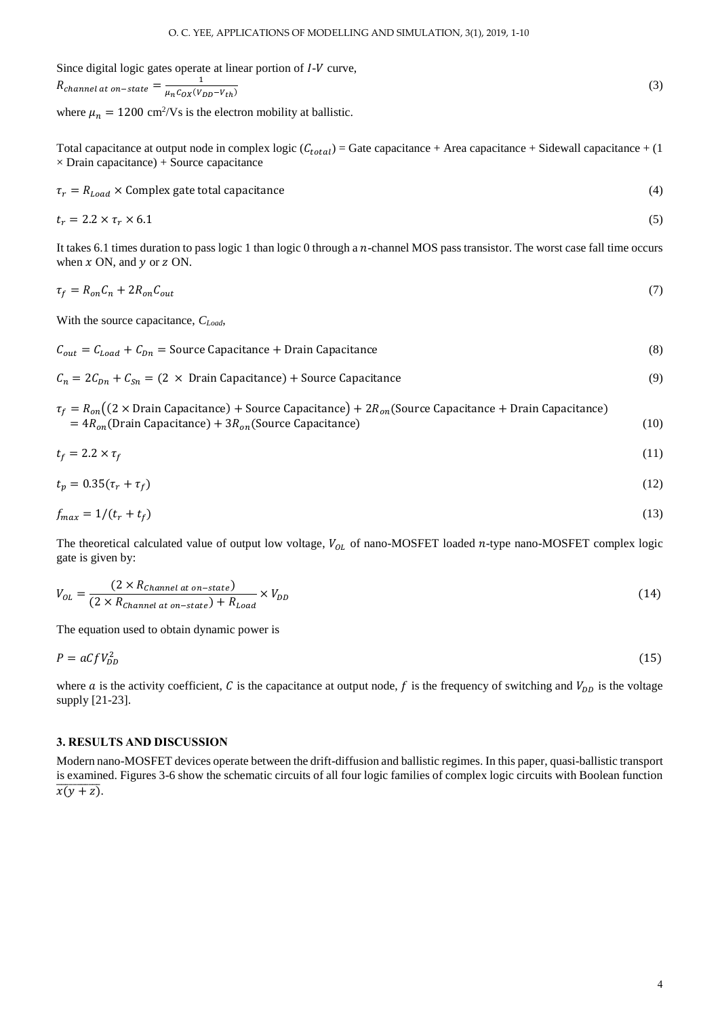Since digital logic gates operate at linear portion of  $I-V$  curve,  $R_{channel\ at\ on-state}=\frac{1}{\mu_{\in \mathcal{L}}\sigma_{\mathcal{V}}(V)}$  $\mu_n C_{OX}(V_{DD}-V_{th})$ (3)

where  $\mu_n = 1200 \text{ cm}^2/\text{Vs}$  is the electron mobility at ballistic.

Total capacitance at output node in complex logic  $(C_{total}) =$  Gate capacitance + Area capacitance + Sidewall capacitance + (1)  $\times$  Drain capacitance) + Source capacitance

$$
\tau_r = R_{Load} \times \text{Complex gate total capacitance} \tag{4}
$$

$$
t_r = 2.2 \times \tau_r \times 6.1 \tag{5}
$$

It takes 6.1 times duration to pass logic 1 than logic 0 through a  $n$ -channel MOS pass transistor. The worst case fall time occurs when  $x$  ON, and  $y$  or  $z$  ON.

$$
\tau_f = R_{on} C_n + 2R_{on} C_{out} \tag{7}
$$

With the source capacitance, *CLoad*,

 $C_{out} = C_{load} + C_{Dn}$  = Source Capacitance + Drain Capacitance (8)

 $C_n = 2C_{Dn} + C_{Sn} = (2 \times \text{Drain} \text{Capacitance}) + \text{Source Capacitance}$  (9)

$$
\tau_f = R_{on} \left( \left( 2 \times \text{Drain Capacitance} \right) + \text{Source Capacitance} \right) + 2R_{on} \left( \text{Source Capacitance} + \text{Drain Capacitance} \right) \n= 4R_{on} \left( \text{Drain Capacitance} \right) + 3R_{on} \left( \text{Source Capacitance} \right)
$$
\n(10)

$$
t_f = 2.2 \times \tau_f \tag{11}
$$

$$
t_p = 0.35(\tau_r + \tau_f) \tag{12}
$$

$$
f_{max} = 1/(t_r + t_f) \tag{13}
$$

The theoretical calculated value of output low voltage,  $V_{OL}$  of nano-MOSFET loaded n-type nano-MOSFET complex logic gate is given by:

$$
V_{OL} = \frac{(2 \times R_{Channel\ at\ on-state})}{(2 \times R_{Channel\ at\ on-state}) + R_{Load}} \times V_{DD}
$$
\n(14)

The equation used to obtain dynamic power is

$$
P = aCfV_{DD}^2 \tag{15}
$$

where  $a$  is the activity coefficient,  $C$  is the capacitance at output node,  $f$  is the frequency of switching and  $V_{DD}$  is the voltage supply [21-23].

#### **3. RESULTS AND DISCUSSION**

Modern nano-MOSFET devices operate between the drift-diffusion and ballistic regimes. In this paper, quasi-ballistic transport is examined. Figures 3-6 show the schematic circuits of all four logic families of complex logic circuits with Boolean function  $\overline{x(y+z)}$ .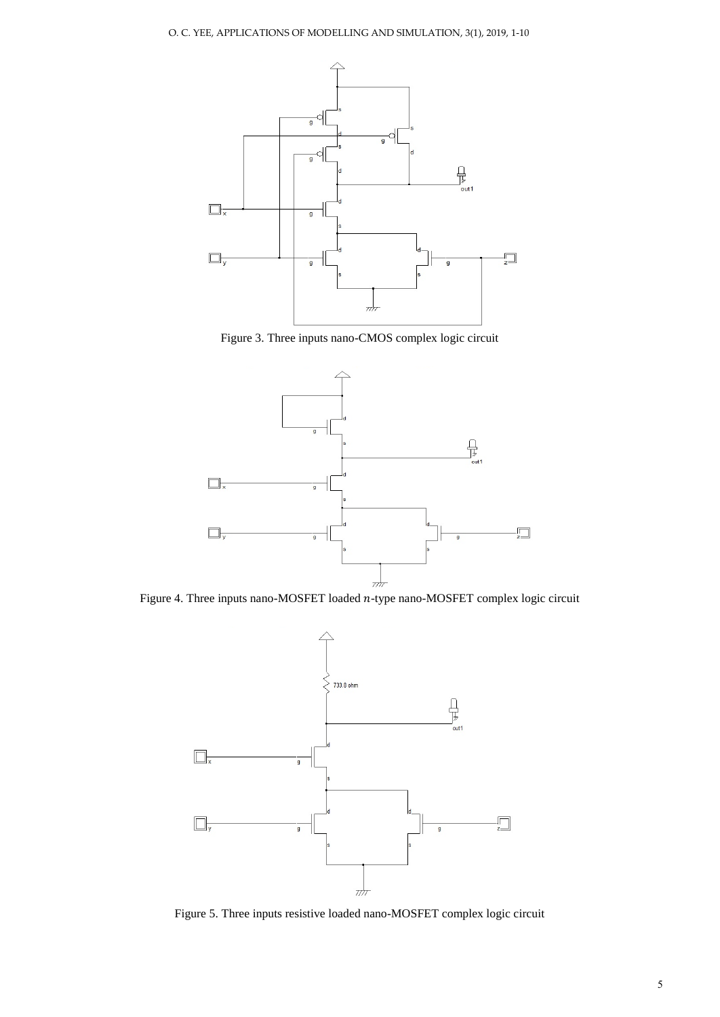

Figure 3. Three inputs nano-CMOS complex logic circuit



Figure 4. Three inputs nano-MOSFET loaded  $n$ -type nano-MOSFET complex logic circuit



Figure 5. Three inputs resistive loaded nano-MOSFET complex logic circuit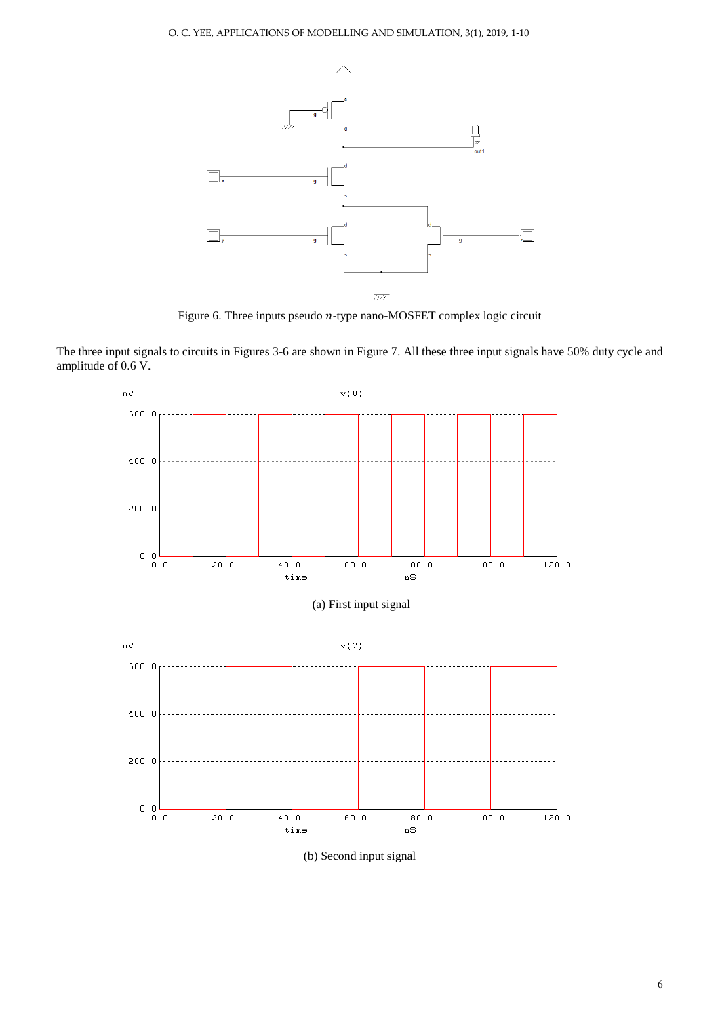

Figure 6. Three inputs pseudo  $n$ -type nano-MOSFET complex logic circuit

The three input signals to circuits in Figures 3-6 are shown in Figure 7. All these three input signals have 50% duty cycle and amplitude of 0.6 V.

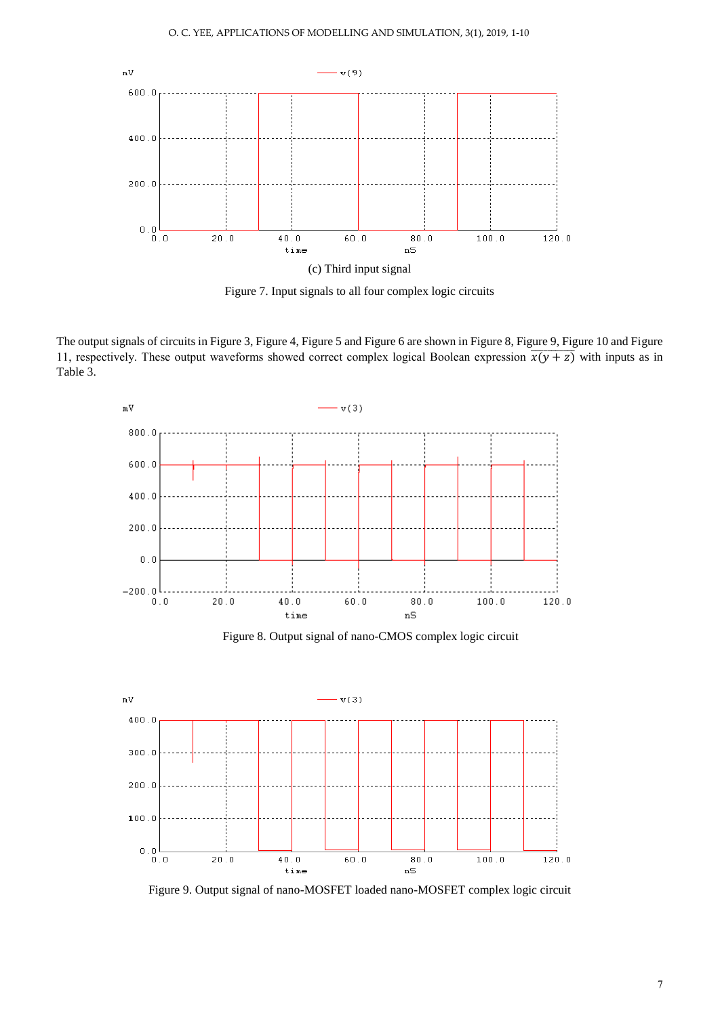

Figure 7. Input signals to all four complex logic circuits

The output signals of circuits in Figure 3, Figure 4, Figure 5 and Figure 6 are shown in Figure 8, Figure 9, Figure 10 and Figure 11, respectively. These output waveforms showed correct complex logical Boolean expression  $\overline{x(y+z)}$  with inputs as in Table 3.



Figure 8. Output signal of nano-CMOS complex logic circuit



Figure 9. Output signal of nano-MOSFET loaded nano-MOSFET complex logic circuit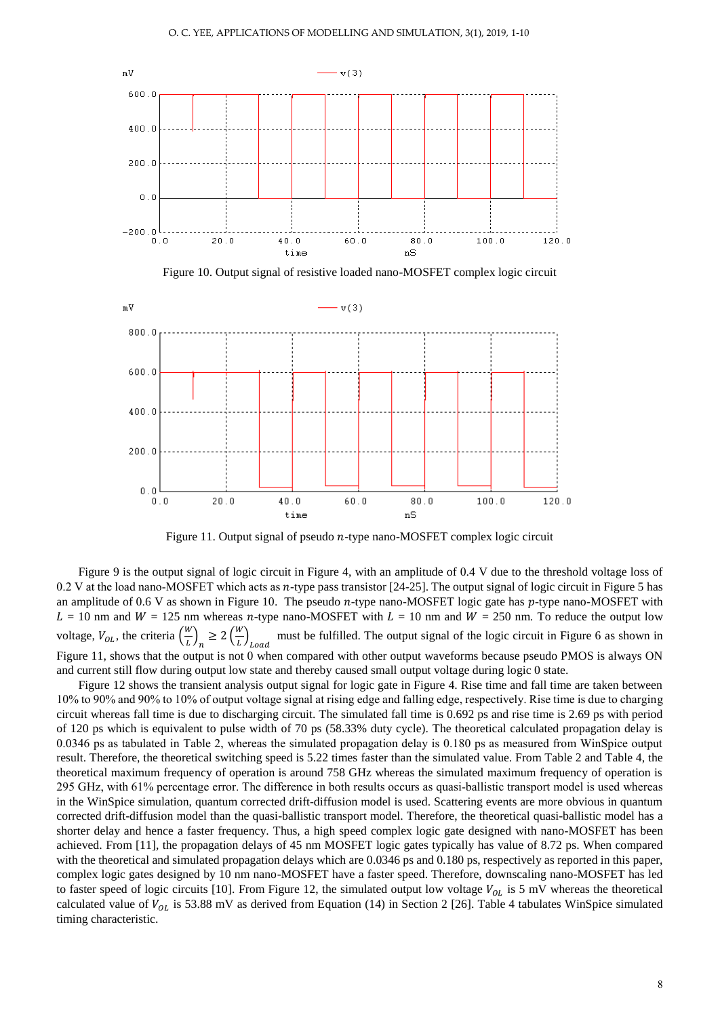

Figure 10. Output signal of resistive loaded nano-MOSFET complex logic circuit



Figure 11. Output signal of pseudo  $n$ -type nano-MOSFET complex logic circuit

Figure 9 is the output signal of logic circuit in Figure 4, with an amplitude of 0.4 V due to the threshold voltage loss of 0.2 V at the load nano-MOSFET which acts as  $n$ -type pass transistor [24-25]. The output signal of logic circuit in Figure 5 has an amplitude of 0.6 V as shown in Figure 10. The pseudo  $n$ -type nano-MOSFET logic gate has  $p$ -type nano-MOSFET with  $L = 10$  nm and  $W = 125$  nm whereas n-type nano-MOSFET with  $L = 10$  nm and  $W = 250$  nm. To reduce the output low voltage,  $V_{OL}$ , the criteria  $\left(\frac{W}{I}\right)$  $\left(\frac{w}{L}\right)_n \geq 2\left(\frac{w}{L}\right)$  $\left(\frac{W}{L}\right)_{Load}$ must be fulfilled. The output signal of the logic circuit in Figure 6 as shown in Figure 11, shows that the output is not 0 when compared with other output waveforms because pseudo PMOS is always ON and current still flow during output low state and thereby caused small output voltage during logic 0 state.

Figure 12 shows the transient analysis output signal for logic gate in Figure 4. Rise time and fall time are taken between 10% to 90% and 90% to 10% of output voltage signal at rising edge and falling edge, respectively. Rise time is due to charging circuit whereas fall time is due to discharging circuit. The simulated fall time is 0.692 ps and rise time is 2.69 ps with period of 120 ps which is equivalent to pulse width of 70 ps (58.33% duty cycle). The theoretical calculated propagation delay is 0.0346 ps as tabulated in Table 2, whereas the simulated propagation delay is 0.180 ps as measured from WinSpice output result. Therefore, the theoretical switching speed is 5.22 times faster than the simulated value. From Table 2 and Table 4, the theoretical maximum frequency of operation is around 758 GHz whereas the simulated maximum frequency of operation is 295 GHz, with 61% percentage error. The difference in both results occurs as quasi-ballistic transport model is used whereas in the WinSpice simulation, quantum corrected drift-diffusion model is used. Scattering events are more obvious in quantum corrected drift-diffusion model than the quasi-ballistic transport model. Therefore, the theoretical quasi-ballistic model has a shorter delay and hence a faster frequency. Thus, a high speed complex logic gate designed with nano-MOSFET has been achieved. From [11], the propagation delays of 45 nm MOSFET logic gates typically has value of 8.72 ps. When compared with the theoretical and simulated propagation delays which are 0.0346 ps and 0.180 ps, respectively as reported in this paper, complex logic gates designed by 10 nm nano-MOSFET have a faster speed. Therefore, downscaling nano-MOSFET has led to faster speed of logic circuits [10]. From Figure 12, the simulated output low voltage  $V_{OL}$  is 5 mV whereas the theoretical calculated value of  $V_{OL}$  is 53.88 mV as derived from Equation (14) in Section 2 [26]. Table 4 tabulates WinSpice simulated timing characteristic.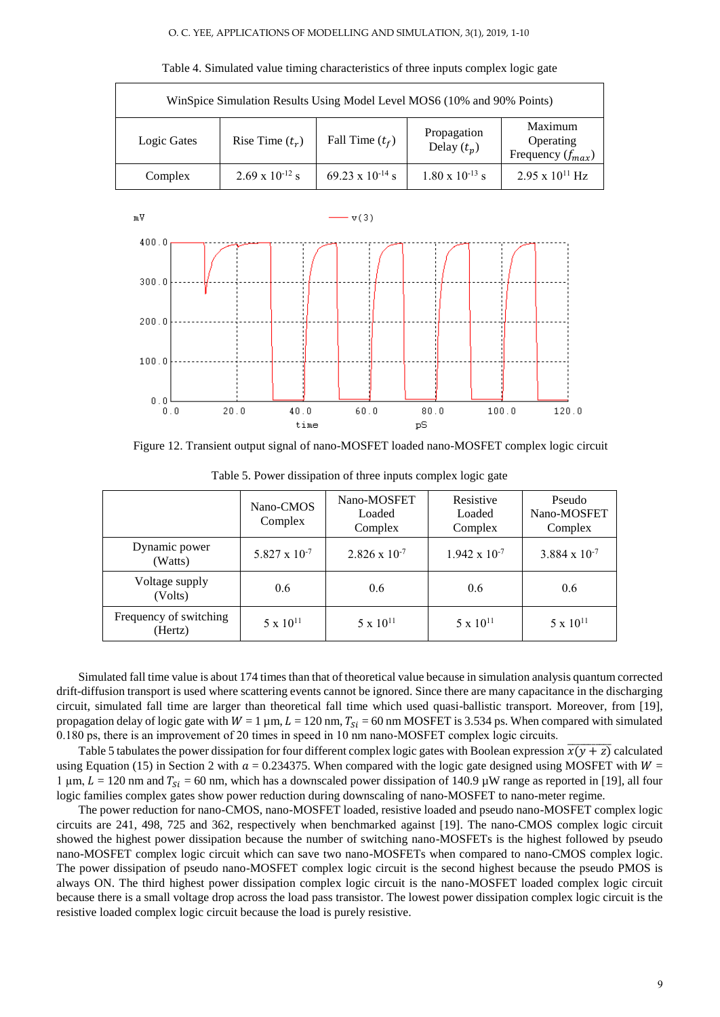#### O. C. YEE, APPLICATIONS OF MODELLING AND SIMULATION, 3(1), 2019, 1-10

| WinSpice Simulation Results Using Model Level MOS6 (10% and 90% Points) |                          |                           |                              |                                               |  |  |  |
|-------------------------------------------------------------------------|--------------------------|---------------------------|------------------------------|-----------------------------------------------|--|--|--|
| Rise Time $(t_r)$<br>Logic Gates                                        |                          | Fall Time $(t_f)$         | Propagation<br>Delay $(t_p)$ | Maximum<br>Operating<br>Frequency $(f_{max})$ |  |  |  |
| Complex                                                                 | $2.69 \times 10^{-12}$ s | $69.23 \times 10^{-14}$ s | $1.80 \times 10^{-13}$ s     | $2.95 \times 10^{11}$ Hz                      |  |  |  |

Table 4. Simulated value timing characteristics of three inputs complex logic gate



Figure 12. Transient output signal of nano-MOSFET loaded nano-MOSFET complex logic circuit

|                                   | Nano-CMOS<br>Complex   | Nano-MOSFET<br>Loaded<br>Complex | Resistive<br>Loaded<br>Complex | Pseudo<br>Nano-MOSFET<br>Complex |
|-----------------------------------|------------------------|----------------------------------|--------------------------------|----------------------------------|
| Dynamic power<br>(Watts)          | $5.827 \times 10^{-7}$ | $2.826 \times 10^{-7}$           | $1.942 \times 10^{-7}$         | $3.884 \times 10^{-7}$           |
| Voltage supply<br>(Volts)         | 0.6                    | 0.6                              | 0.6                            | 0.6                              |
| Frequency of switching<br>(Hertz) | $5 \times 10^{11}$     | $5 \times 10^{11}$               | $5 \times 10^{11}$             | $5 \times 10^{11}$               |

Table 5. Power dissipation of three inputs complex logic gate

Simulated fall time value is about 174 times than that of theoretical value because in simulation analysis quantum corrected drift-diffusion transport is used where scattering events cannot be ignored. Since there are many capacitance in the discharging circuit, simulated fall time are larger than theoretical fall time which used quasi-ballistic transport. Moreover, from [19], propagation delay of logic gate with  $W = 1 \mu m$ ,  $L = 120 \text{ nm}$ ,  $T_{\text{si}} = 60 \text{ nm}$  MOSFET is 3.534 ps. When compared with simulated 0.180 ps, there is an improvement of 20 times in speed in 10 nm nano-MOSFET complex logic circuits.

Table 5 tabulates the power dissipation for four different complex logic gates with Boolean expression  $\overline{x(y+z)}$  calculated using Equation (15) in Section 2 with  $a = 0.234375$ . When compared with the logic gate designed using MOSFET with  $W =$ 1  $\mu$ m,  $L = 120$  nm and  $T_{Si} = 60$  nm, which has a downscaled power dissipation of 140.9  $\mu$ W range as reported in [19], all four logic families complex gates show power reduction during downscaling of nano-MOSFET to nano-meter regime.

The power reduction for nano-CMOS, nano-MOSFET loaded, resistive loaded and pseudo nano-MOSFET complex logic circuits are 241, 498, 725 and 362, respectively when benchmarked against [19]. The nano-CMOS complex logic circuit showed the highest power dissipation because the number of switching nano-MOSFETs is the highest followed by pseudo nano-MOSFET complex logic circuit which can save two nano-MOSFETs when compared to nano-CMOS complex logic. The power dissipation of pseudo nano-MOSFET complex logic circuit is the second highest because the pseudo PMOS is always ON. The third highest power dissipation complex logic circuit is the nano-MOSFET loaded complex logic circuit because there is a small voltage drop across the load pass transistor. The lowest power dissipation complex logic circuit is the resistive loaded complex logic circuit because the load is purely resistive.